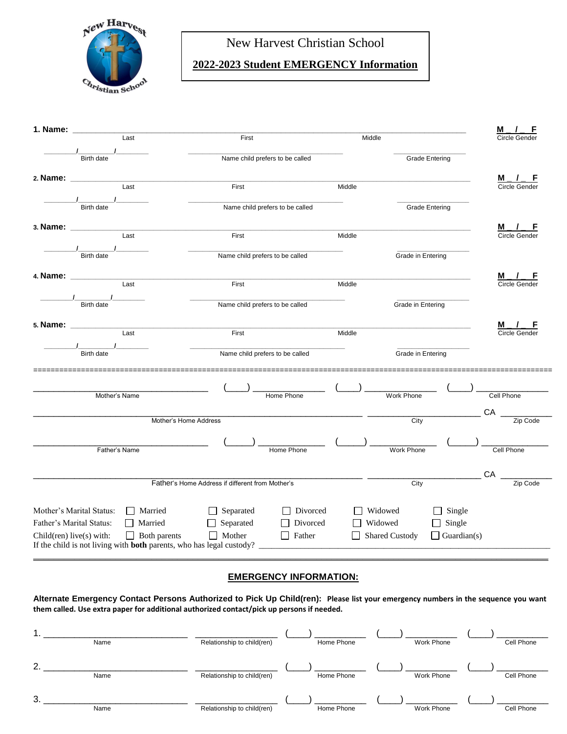

# New Harvest Christian School

## **2022-2023 Student EMERGENCY Information**

| 1. Name: $\_$                              |                                                                                                                                |                                                  |                                      | <u>M</u><br>F                      |
|--------------------------------------------|--------------------------------------------------------------------------------------------------------------------------------|--------------------------------------------------|--------------------------------------|------------------------------------|
|                                            | Last                                                                                                                           | First                                            | Middle                               | Circle Gender                      |
|                                            | Birth date                                                                                                                     | Name child prefers to be called                  | <b>Grade Entering</b>                |                                    |
| 2. Name: ________                          | Last                                                                                                                           | First                                            | Middle                               | <b>M</b> / F<br>Circle Gender      |
|                                            |                                                                                                                                |                                                  |                                      |                                    |
|                                            | <b>Birth date</b>                                                                                                              | Name child prefers to be called                  | <b>Grade Entering</b>                |                                    |
| 3. Name:                                   | $\overline{\mathsf{Last}}$                                                                                                     | First                                            | Middle                               | M <sub>_/_F</sub><br>Circle Gender |
|                                            |                                                                                                                                |                                                  |                                      |                                    |
|                                            | <b>Birth date</b>                                                                                                              | Name child prefers to be called                  | Grade in Entering                    |                                    |
|                                            | 4. Name: __________<br>$\frac{1}{\text{Last}}$                                                                                 |                                                  |                                      | <u>м.</u><br>Circle Gender         |
|                                            |                                                                                                                                | First                                            | Middle                               |                                    |
|                                            | $\frac{1}{\frac{1}{\frac{1}{1}}$ Birth date                                                                                    | Name child prefers to be called                  | <b>Grade in Entering</b>             |                                    |
|                                            | 5. Name: ___________<br>Last                                                                                                   | First                                            | Middle                               | <b>M</b> / F<br>Circle Gender      |
|                                            |                                                                                                                                |                                                  |                                      |                                    |
|                                            | <b>Birth date</b>                                                                                                              | Name child prefers to be called                  | Grade in Entering                    |                                    |
|                                            |                                                                                                                                |                                                  |                                      |                                    |
|                                            | Mother's Name                                                                                                                  | Home Phone                                       | Work Phone                           | Cell Phone                         |
|                                            | Mother's Home Address                                                                                                          |                                                  | City                                 | СA<br>Zip Code                     |
|                                            |                                                                                                                                |                                                  |                                      |                                    |
|                                            | Father's Name                                                                                                                  | Home Phone                                       | Work Phone                           | Cell Phone                         |
|                                            |                                                                                                                                |                                                  |                                      | CA                                 |
|                                            |                                                                                                                                | Father's Home Address if different from Mother's | City                                 | Zip Code                           |
|                                            | Mother's Marital Status:<br>Married                                                                                            | $\Box$ Separated<br>$\Box$ Divorced              | $\Box$ Widowed<br>$\Box$ Single      |                                    |
| $\Box$ Married<br>Father's Marital Status: |                                                                                                                                | $\Box$ Separated<br>Divorced                     | $\Box$ Single<br>$\Box$ Widowed      |                                    |
|                                            | $\Box$ Both parents<br>Child(ren) live(s) with:<br>If the child is not living with <b>both</b> parents, who has legal custody? | $\Box$ Mother<br>$\Box$ Father                   | Shared Custody<br>$\Box$ Guardian(s) |                                    |
|                                            |                                                                                                                                |                                                  |                                      |                                    |

## **EMERGENCY INFORMATION:**

**Alternate Emergency Contact Persons Authorized to Pick Up Child(ren): Please list your emergency numbers in the sequence you want them called. Use extra paper for additional authorized contact/pick up persons if needed.**

|    | Name | Relationship to child(ren) | Home Phone | Work Phone | Cell Phone |
|----|------|----------------------------|------------|------------|------------|
| 2. | Name | Relationship to child(ren) | Home Phone | Work Phone | Cell Phone |
| 3. | Name | Relationship to child(ren) | Home Phone | Work Phone | Cell Phone |